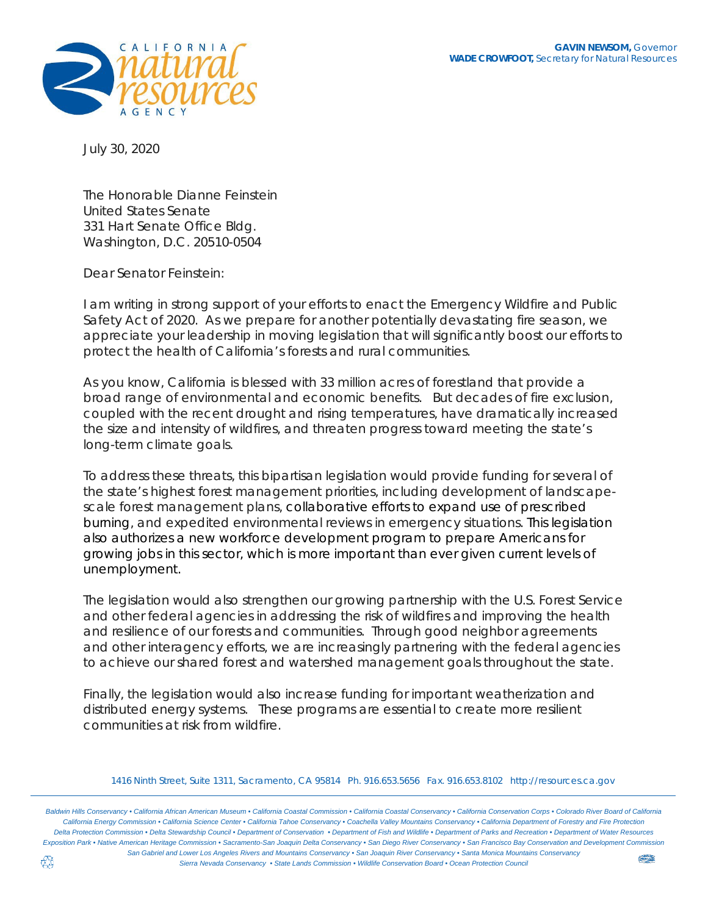

July 30, 2020

The Honorable Dianne Feinstein United States Senate 331 Hart Senate Office Bldg. Washington, D.C. 20510-0504

Dear Senator Feinstein:

I am writing in strong support of your efforts to enact the Emergency Wildfire and Public Safety Act of 2020. As we prepare for another potentially devastating fire season, we appreciate your leadership in moving legislation that will significantly boost our efforts to protect the health of California's forests and rural communities.

As you know, California is blessed with 33 million acres of forestland that provide a broad range of environmental and economic benefits. But decades of fire exclusion, coupled with the recent drought and rising temperatures, have dramatically increased the size and intensity of wildfires, and threaten progress toward meeting the state's long-term climate goals.

To address these threats, this bipartisan legislation would provide funding for several of the state's highest forest management priorities, including development of landscapescale forest management plans, collaborative efforts to expand use of prescribed burning, and expedited environmental reviews in emergency situations. This legislation also authorizes a new workforce development program to prepare Americans for growing jobs in this sector, which is more important than ever given current levels of unemployment.

The legislation would also strengthen our growing partnership with the U.S. Forest Service and other federal agencies in addressing the risk of wildfires and improving the health and resilience of our forests and communities. Through good neighbor agreements and other interagency efforts, we are increasingly partnering with the federal agencies to achieve our shared forest and watershed management goals throughout the state.

Finally, the legislation would also increase funding for important weatherization and distributed energy systems. These programs are essential to create more resilient communities at risk from wildfire.

Baldwin Hills Conservancy . California African American Museum . California Coastal Commission . California Coastal Conservancy . California Conservation Corps . Colorado River Board of California California Energy Commission . California Science Center . California Tahoe Conservancy . Coachella Valley Mountains Conservancy . California Department of Forestry and Fire Protection Delta Protection Commission . Delta Stewardship Council . Department of Conservation . Department of Fish and Wildlife . Department of Parks and Recreation . Department of Water Resources Exposition Park • Native American Heritage Commission • Sacramento-San Joaquin Delta Conservancy • San Diego River Conservancy • San Francisco Bay Conservation and Development Commission *San Gabriel and Lower Los Angeles Rivers and Mountains Conservancy • San Joaquin River Conservancy • Santa Monica Mountains Conservancy*  **UNDER** *Sierra Nevada Conservancy • State Lands Commission • Wildlife Conservation Board • Ocean Protection Council*

*<sup>1416</sup> Ninth Street, Suite 1311, Sacramento, CA 95814 Ph. 916.653.5656 Fax. 916.653.8102 [http://resources.ca.gov](http://resources.ca.gov/)*